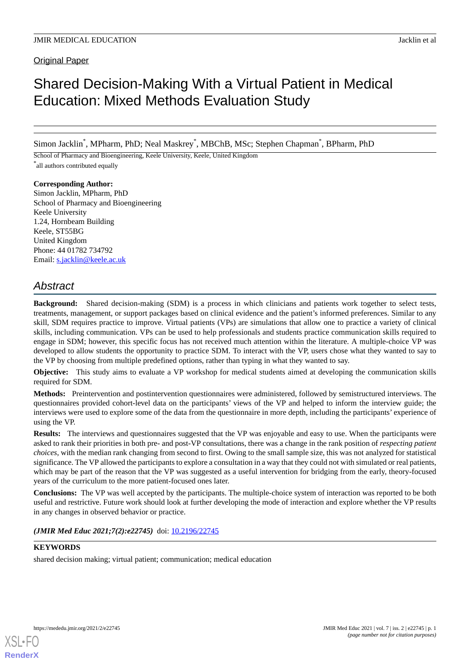Original Paper

# Shared Decision-Making With a Virtual Patient in Medical Education: Mixed Methods Evaluation Study

Simon Jacklin\* , MPharm, PhD; Neal Maskrey \* , MBChB, MSc; Stephen Chapman\* , BPharm, PhD

School of Pharmacy and Bioengineering, Keele University, Keele, United Kingdom \* all authors contributed equally

**Corresponding Author:**

Simon Jacklin, MPharm, PhD School of Pharmacy and Bioengineering Keele University 1.24, Hornbeam Building Keele, ST55BG United Kingdom Phone: 44 01782 734792 Email: [s.jacklin@keele.ac.uk](mailto:s.jacklin@keele.ac.uk)

# *Abstract*

**Background:** Shared decision-making (SDM) is a process in which clinicians and patients work together to select tests, treatments, management, or support packages based on clinical evidence and the patient's informed preferences. Similar to any skill, SDM requires practice to improve. Virtual patients (VPs) are simulations that allow one to practice a variety of clinical skills, including communication. VPs can be used to help professionals and students practice communication skills required to engage in SDM; however, this specific focus has not received much attention within the literature. A multiple-choice VP was developed to allow students the opportunity to practice SDM. To interact with the VP, users chose what they wanted to say to the VP by choosing from multiple predefined options, rather than typing in what they wanted to say.

**Objective:** This study aims to evaluate a VP workshop for medical students aimed at developing the communication skills required for SDM.

**Methods:** Preintervention and postintervention questionnaires were administered, followed by semistructured interviews. The questionnaires provided cohort-level data on the participants' views of the VP and helped to inform the interview guide; the interviews were used to explore some of the data from the questionnaire in more depth, including the participants' experience of using the VP.

**Results:** The interviews and questionnaires suggested that the VP was enjoyable and easy to use. When the participants were asked to rank their priorities in both pre- and post-VP consultations, there was a change in the rank position of *respecting patient choices*, with the median rank changing from second to first. Owing to the small sample size, this was not analyzed for statistical significance. The VP allowed the participants to explore a consultation in a way that they could not with simulated or real patients, which may be part of the reason that the VP was suggested as a useful intervention for bridging from the early, theory-focused years of the curriculum to the more patient-focused ones later.

**Conclusions:** The VP was well accepted by the participants. The multiple-choice system of interaction was reported to be both useful and restrictive. Future work should look at further developing the mode of interaction and explore whether the VP results in any changes in observed behavior or practice.

*(JMIR Med Educ 2021;7(2):e22745)* doi: [10.2196/22745](http://dx.doi.org/10.2196/22745)

# **KEYWORDS**

shared decision making; virtual patient; communication; medical education

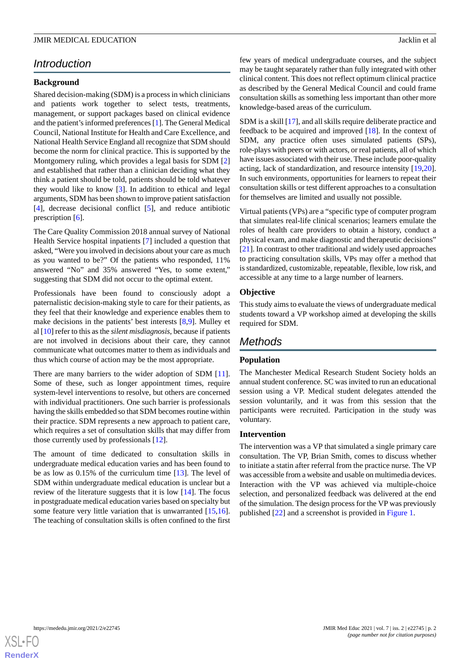# *Introduction*

### **Background**

Shared decision-making (SDM) is a process in which clinicians and patients work together to select tests, treatments, management, or support packages based on clinical evidence and the patient's informed preferences [\[1](#page-7-0)]. The General Medical Council, National Institute for Health and Care Excellence, and National Health Service England all recognize that SDM should become the norm for clinical practice. This is supported by the Montgomery ruling, which provides a legal basis for SDM [\[2](#page-7-1)] and established that rather than a clinician deciding what they think a patient should be told, patients should be told whatever they would like to know [\[3](#page-7-2)]. In addition to ethical and legal arguments, SDM has been shown to improve patient satisfaction [[4\]](#page-7-3), decrease decisional conflict [\[5](#page-7-4)], and reduce antibiotic prescription [\[6](#page-7-5)].

The Care Quality Commission 2018 annual survey of National Health Service hospital inpatients [\[7](#page-7-6)] included a question that asked, "Were you involved in decisions about your care as much as you wanted to be?" Of the patients who responded, 11% answered "No" and 35% answered "Yes, to some extent," suggesting that SDM did not occur to the optimal extent.

Professionals have been found to consciously adopt a paternalistic decision-making style to care for their patients, as they feel that their knowledge and experience enables them to make decisions in the patients' best interests [[8](#page-7-7)[,9](#page-7-8)]. Mulley et al [[10\]](#page-7-9) refer to this as the *silent misdiagnosis*, because if patients are not involved in decisions about their care, they cannot communicate what outcomes matter to them as individuals and thus which course of action may be the most appropriate.

There are many barriers to the wider adoption of SDM [[11\]](#page-7-10). Some of these, such as longer appointment times, require system-level interventions to resolve, but others are concerned with individual practitioners. One such barrier is professionals having the skills embedded so that SDM becomes routine within their practice. SDM represents a new approach to patient care, which requires a set of consultation skills that may differ from those currently used by professionals [[12\]](#page-7-11).

The amount of time dedicated to consultation skills in undergraduate medical education varies and has been found to be as low as 0.15% of the curriculum time [\[13](#page-7-12)]. The level of SDM within undergraduate medical education is unclear but a review of the literature suggests that it is low [\[14](#page-7-13)]. The focus in postgraduate medical education varies based on specialty but some feature very little variation that is unwarranted [\[15](#page-7-14),[16\]](#page-7-15). The teaching of consultation skills is often confined to the first few years of medical undergraduate courses, and the subject may be taught separately rather than fully integrated with other clinical content. This does not reflect optimum clinical practice as described by the General Medical Council and could frame consultation skills as something less important than other more knowledge-based areas of the curriculum.

SDM is a skill [[17\]](#page-7-16), and all skills require deliberate practice and feedback to be acquired and improved [\[18](#page-7-17)]. In the context of SDM, any practice often uses simulated patients (SPs), role-plays with peers or with actors, or real patients, all of which have issues associated with their use. These include poor-quality acting, lack of standardization, and resource intensity [\[19](#page-7-18),[20\]](#page-7-19). In such environments, opportunities for learners to repeat their consultation skills or test different approaches to a consultation for themselves are limited and usually not possible.

Virtual patients (VPs) are a "specific type of computer program that simulates real-life clinical scenarios; learners emulate the roles of health care providers to obtain a history, conduct a physical exam, and make diagnostic and therapeutic decisions" [[21\]](#page-8-0). In contrast to other traditional and widely used approaches to practicing consultation skills, VPs may offer a method that is standardized, customizable, repeatable, flexible, low risk, and accessible at any time to a large number of learners.

#### **Objective**

This study aims to evaluate the views of undergraduate medical students toward a VP workshop aimed at developing the skills required for SDM.

# *Methods*

### **Population**

The Manchester Medical Research Student Society holds an annual student conference. SC was invited to run an educational session using a VP. Medical student delegates attended the session voluntarily, and it was from this session that the participants were recruited. Participation in the study was voluntary.

#### **Intervention**

The intervention was a VP that simulated a single primary care consultation. The VP, Brian Smith, comes to discuss whether to initiate a statin after referral from the practice nurse. The VP was accessible from a website and usable on multimedia devices. Interaction with the VP was achieved via multiple-choice selection, and personalized feedback was delivered at the end of the simulation. The design process for the VP was previously published [\[22](#page-8-1)] and a screenshot is provided in [Figure 1.](#page-2-0)

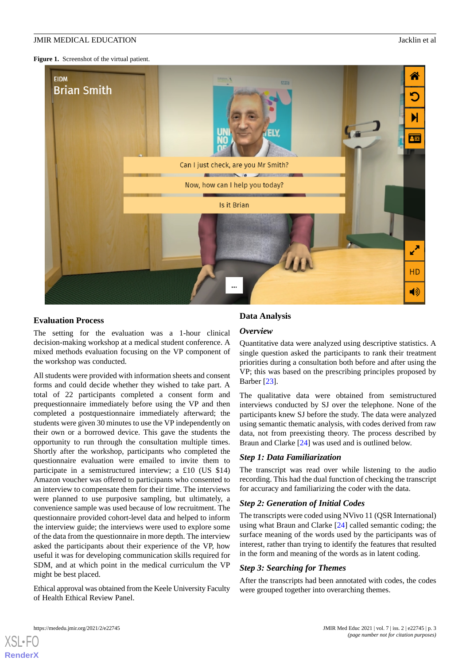<span id="page-2-0"></span>**Figure 1.** Screenshot of the virtual patient.

| <b>EIDM</b><br><b>Brian Smith</b> | $\overline{0.153}$                  | ⋒<br>О<br>임료 |
|-----------------------------------|-------------------------------------|--------------|
|                                   | Can I just check, are you Mr Smith? |              |
|                                   | Now, how can I help you today?      |              |
|                                   | Is it Brian                         |              |
|                                   |                                     |              |
|                                   |                                     | <b>A</b>     |
|                                   |                                     | HD           |
|                                   | $\cdots$                            | ◀ঠ           |

### **Evaluation Process**

The setting for the evaluation was a 1-hour clinical decision-making workshop at a medical student conference. A mixed methods evaluation focusing on the VP component of the workshop was conducted.

All students were provided with information sheets and consent forms and could decide whether they wished to take part. A total of 22 participants completed a consent form and prequestionnaire immediately before using the VP and then completed a postquestionnaire immediately afterward; the students were given 30 minutes to use the VP independently on their own or a borrowed device. This gave the students the opportunity to run through the consultation multiple times. Shortly after the workshop, participants who completed the questionnaire evaluation were emailed to invite them to participate in a semistructured interview; a £10 (US \$14) Amazon voucher was offered to participants who consented to an interview to compensate them for their time. The interviews were planned to use purposive sampling, but ultimately, a convenience sample was used because of low recruitment. The questionnaire provided cohort-level data and helped to inform the interview guide; the interviews were used to explore some of the data from the questionnaire in more depth. The interview asked the participants about their experience of the VP, how useful it was for developing communication skills required for SDM, and at which point in the medical curriculum the VP might be best placed.

Ethical approval was obtained from the Keele University Faculty of Health Ethical Review Panel.

# **Data Analysis**

### *Overview*

Quantitative data were analyzed using descriptive statistics. A single question asked the participants to rank their treatment priorities during a consultation both before and after using the VP; this was based on the prescribing principles proposed by Barber [[23\]](#page-8-2).

The qualitative data were obtained from semistructured interviews conducted by SJ over the telephone. None of the participants knew SJ before the study. The data were analyzed using semantic thematic analysis, with codes derived from raw data, not from preexisting theory. The process described by Braun and Clarke [[24\]](#page-8-3) was used and is outlined below.

# *Step 1: Data Familiarization*

The transcript was read over while listening to the audio recording. This had the dual function of checking the transcript for accuracy and familiarizing the coder with the data.

# *Step 2: Generation of Initial Codes*

The transcripts were coded using NVivo 11 (QSR International) using what Braun and Clarke [[24\]](#page-8-3) called semantic coding; the surface meaning of the words used by the participants was of interest, rather than trying to identify the features that resulted in the form and meaning of the words as in latent coding.

# *Step 3: Searching for Themes*

After the transcripts had been annotated with codes, the codes were grouped together into overarching themes.

[XSL](http://www.w3.org/Style/XSL)•FO **[RenderX](http://www.renderx.com/)**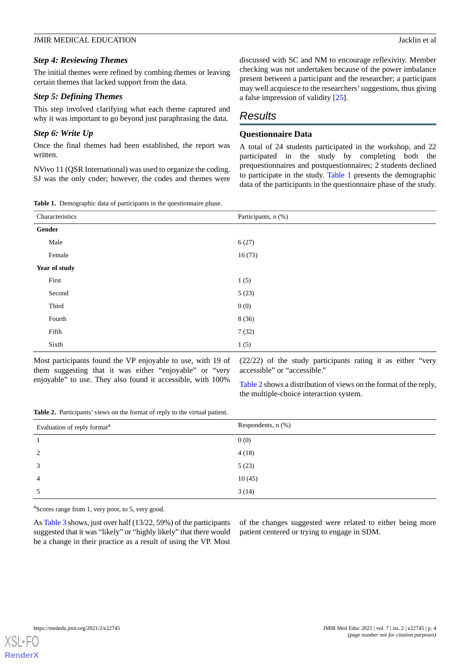### *Step 4: Reviewing Themes*

The initial themes were refined by combing themes or leaving certain themes that lacked support from the data.

### *Step 5: Defining Themes*

This step involved clarifying what each theme captured and why it was important to go beyond just paraphrasing the data.

### *Step 6: Write Up*

Once the final themes had been established, the report was written.

<span id="page-3-0"></span>NVivo 11 (QSR International) was used to organize the coding. SJ was the only coder; however, the codes and themes were discussed with SC and NM to encourage reflexivity. Member checking was not undertaken because of the power imbalance present between a participant and the researcher; a participant may well acquiesce to the researchers'suggestions, thus giving a false impression of validity [\[25](#page-8-4)].

# *Results*

# **Questionnaire Data**

A total of 24 students participated in the workshop, and 22 participated in the study by completing both the prequestionnaires and postquestionnaires; 2 students declined to participate in the study. [Table 1](#page-3-0) presents the demographic data of the participants in the questionnaire phase of the study.

**Table 1.** Demographic data of participants in the questionnaire phase.

| Characteristics | Participants, n (%) |  |
|-----------------|---------------------|--|
| Gender          |                     |  |
| Male            | 6(27)               |  |
| Female          | 16(73)              |  |
| Year of study   |                     |  |
| First           | 1(5)                |  |
| Second          | 5(23)               |  |
| Third           | 0(0)                |  |
| Fourth          | 8 (36)              |  |
| Fifth           | 7(32)               |  |
| Sixth           | 1(5)                |  |

<span id="page-3-1"></span>Most participants found the VP enjoyable to use, with 19 of them suggesting that it was either "enjoyable" or "very enjoyable" to use. They also found it accessible, with 100%

(22/22) of the study participants rating it as either "very accessible" or "accessible."

[Table 2](#page-3-1) shows a distribution of views on the format of the reply, the multiple-choice interaction system.

**Table 2.** Participants' views on the format of reply to the virtual patient.

| Evaluation of reply format <sup>a</sup> | Respondents, n (%) |
|-----------------------------------------|--------------------|
|                                         | 0(0)               |
| 2                                       | 4(18)              |
| 3                                       | 5(23)              |
| $\overline{4}$                          | 10(45)             |
| 5                                       | 3(14)              |

<sup>a</sup>Scores range from 1, very poor, to 5, very good.

As [Table 3](#page-4-0) shows, just over half (13/22, 59%) of the participants suggested that it was "likely" or "highly likely" that there would be a change in their practice as a result of using the VP. Most

of the changes suggested were related to either being more patient centered or trying to engage in SDM.

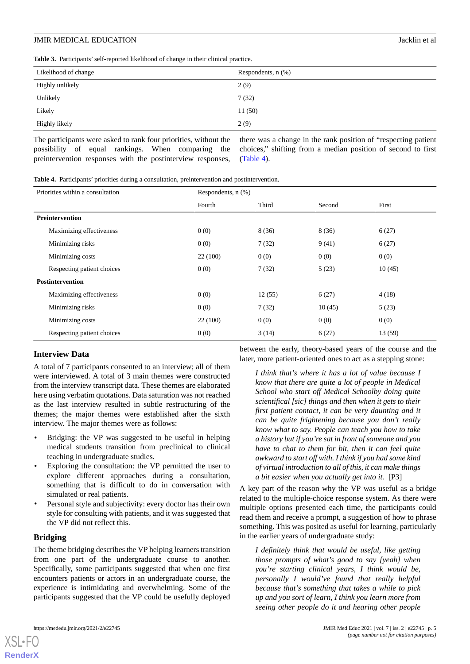<span id="page-4-0"></span>**Table 3.** Participants'self-reported likelihood of change in their clinical practice.

| Likelihood of change | Respondents, $n$ $(\%)$ |
|----------------------|-------------------------|
| Highly unlikely      | 2(9)                    |
| Unlikely             | 7(32)                   |
| Likely               | 11(50)                  |
| Highly likely        | 2(9)                    |

The participants were asked to rank four priorities, without the possibility of equal rankings. When comparing the preintervention responses with the postinterview responses,

there was a change in the rank position of "respecting patient choices," shifting from a median position of second to first ([Table 4](#page-4-1)).

<span id="page-4-1"></span>**Table 4.** Participants' priorities during a consultation, preintervention and postintervention.

| Priorities within a consultation | Respondents, $n$ $(\%)$ |        |        |        |  |
|----------------------------------|-------------------------|--------|--------|--------|--|
|                                  | Fourth                  | Third  | Second | First  |  |
| <b>Preintervention</b>           |                         |        |        |        |  |
| Maximizing effectiveness         | 0(0)                    | 8(36)  | 8(36)  | 6(27)  |  |
| Minimizing risks                 | 0(0)                    | 7(32)  | 9(41)  | 6(27)  |  |
| Minimizing costs                 | 22(100)                 | 0(0)   | 0(0)   | 0(0)   |  |
| Respecting patient choices       | 0(0)                    | 7(32)  | 5(23)  | 10(45) |  |
| <b>Postintervention</b>          |                         |        |        |        |  |
| Maximizing effectiveness         | 0(0)                    | 12(55) | 6(27)  | 4(18)  |  |
| Minimizing risks                 | 0(0)                    | 7(32)  | 10(45) | 5(23)  |  |
| Minimizing costs                 | 22(100)                 | 0(0)   | 0(0)   | 0(0)   |  |
| Respecting patient choices       | 0(0)                    | 3(14)  | 6(27)  | 13(59) |  |

# **Interview Data**

A total of 7 participants consented to an interview; all of them were interviewed. A total of 3 main themes were constructed from the interview transcript data. These themes are elaborated here using verbatim quotations. Data saturation was not reached as the last interview resulted in subtle restructuring of the themes; the major themes were established after the sixth interview. The major themes were as follows:

- Bridging: the VP was suggested to be useful in helping medical students transition from preclinical to clinical teaching in undergraduate studies.
- Exploring the consultation: the VP permitted the user to explore different approaches during a consultation, something that is difficult to do in conversation with simulated or real patients.
- Personal style and subjectivity: every doctor has their own style for consulting with patients, and it was suggested that the VP did not reflect this.

### **Bridging**

[XSL](http://www.w3.org/Style/XSL)•FO **[RenderX](http://www.renderx.com/)**

The theme bridging describes the VP helping learners transition from one part of the undergraduate course to another. Specifically, some participants suggested that when one first encounters patients or actors in an undergraduate course, the experience is intimidating and overwhelming. Some of the participants suggested that the VP could be usefully deployed

between the early, theory-based years of the course and the later, more patient-oriented ones to act as a stepping stone:

*I think that's where it has a lot of value because I know that there are quite a lot of people in Medical School who start off Medical Schoolby doing quite scientifical [sic] things and then when it gets to their first patient contact, it can be very daunting and it can be quite frightening because you don't really know what to say. People can teach you how to take a history but if you're sat in front of someone and you have to chat to them for bit, then it can feel quite awkward to start off with. I think if you had some kind of virtual introduction to all of this, it can make things a bit easier when you actually get into it.* [P3]

A key part of the reason why the VP was useful as a bridge related to the multiple-choice response system. As there were multiple options presented each time, the participants could read them and receive a prompt, a suggestion of how to phrase something. This was posited as useful for learning, particularly in the earlier years of undergraduate study:

*I definitely think that would be useful, like getting those prompts of what's good to say [yeah] when you're starting clinical years, I think would be, personally I would've found that really helpful because that's something that takes a while to pick up and you sort of learn, I think you learn more from seeing other people do it and hearing other people*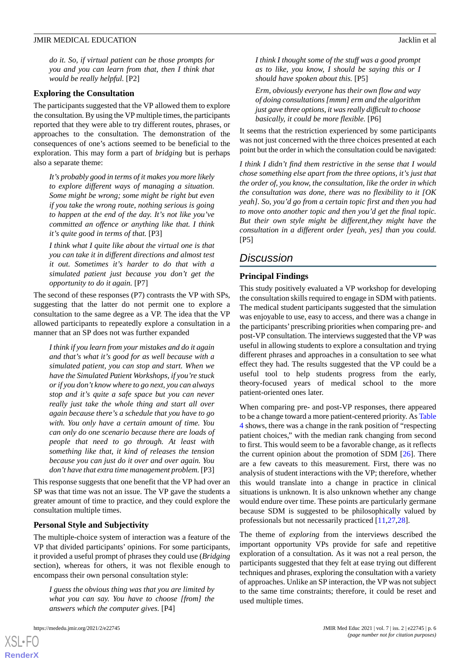*do it. So, if virtual patient can be those prompts for you and you can learn from that, then I think that would be really helpful.* [P2]

### **Exploring the Consultation**

The participants suggested that the VP allowed them to explore the consultation. By using the VP multiple times, the participants reported that they were able to try different routes, phrases, or approaches to the consultation. The demonstration of the consequences of one's actions seemed to be beneficial to the exploration. This may form a part of *bridging* but is perhaps also a separate theme:

*It's probably good in terms of it makes you more likely to explore different ways of managing a situation. Some might be wrong; some might be right but even if you take the wrong route, nothing serious is going to happen at the end of the day. It's not like you've committed an offence or anything like that. I think it's quite good in terms of that.* [P3]

*I think what I quite like about the virtual one is that you can take it in different directions and almost test it out. Sometimes it's harder to do that with a simulated patient just because you don't get the opportunity to do it again.* [P7]

The second of these responses (P7) contrasts the VP with SPs, suggesting that the latter do not permit one to explore a consultation to the same degree as a VP. The idea that the VP allowed participants to repeatedly explore a consultation in a manner that an SP does not was further expanded

*I think if you learn from your mistakes and do it again and that's what it's good for as well because with a simulated patient, you can stop and start. When we have the Simulated Patient Workshops, if you're stuck or if you don't know where to go next, you can always stop and it's quite a safe space but you can never really just take the whole thing and start all over again because there's a schedule that you have to go with. You only have a certain amount of time. You can only do one scenario because there are loads of people that need to go through. At least with something like that, it kind of releases the tension because you can just do it over and over again. You don't have that extra time management problem.* [P3]

This response suggests that one benefit that the VP had over an SP was that time was not an issue. The VP gave the students a greater amount of time to practice, and they could explore the consultation multiple times.

# **Personal Style and Subjectivity**

The multiple-choice system of interaction was a feature of the VP that divided participants' opinions. For some participants, it provided a useful prompt of phrases they could use (*Bridging* section), whereas for others, it was not flexible enough to encompass their own personal consultation style:

*I guess the obvious thing was that you are limited by what you can say. You have to choose [from] the answers which the computer gives.* [P4]

[XSL](http://www.w3.org/Style/XSL)•FO **[RenderX](http://www.renderx.com/)**

*I think I thought some of the stuff was a good prompt as to like, you know, I should be saying this or I should have spoken about this.* [P5]

*Erm, obviously everyone has their own flow and way of doing consultations [mmm] erm and the algorithm just gave three options, it was really difficult to choose basically, it could be more flexible.* [P6]

It seems that the restriction experienced by some participants was not just concerned with the three choices presented at each point but the order in which the consultation could be navigated:

*I think I didn't find them restrictive in the sense that I would chose something else apart from the three options, it's just that the order of, you know, the consultation, like the order in which the consultation was done, there was no flexibility to it [OK yeah]. So, you'd go from a certain topic first and then you had to move onto another topic and then you'd get the final topic. But their own style might be different,they might have the consultation in a different order [yeah, yes] than you could.* [P5]

# *Discussion*

# **Principal Findings**

This study positively evaluated a VP workshop for developing the consultation skills required to engage in SDM with patients. The medical student participants suggested that the simulation was enjoyable to use, easy to access, and there was a change in the participants'prescribing priorities when comparing pre- and post-VP consultation. The interviews suggested that the VP was useful in allowing students to explore a consultation and trying different phrases and approaches in a consultation to see what effect they had. The results suggested that the VP could be a useful tool to help students progress from the early, theory-focused years of medical school to the more patient-oriented ones later.

When comparing pre- and post-VP responses, there appeared to be a change toward a more patient-centered priority. As [Table](#page-4-1) [4](#page-4-1) shows, there was a change in the rank position of "respecting patient choices," with the median rank changing from second to first. This would seem to be a favorable change, as it reflects the current opinion about the promotion of SDM [\[26](#page-8-5)]. There are a few caveats to this measurement. First, there was no analysis of student interactions with the VP; therefore, whether this would translate into a change in practice in clinical situations is unknown. It is also unknown whether any change would endure over time. These points are particularly germane because SDM is suggested to be philosophically valued by professionals but not necessarily practiced [[11,](#page-7-10)[27](#page-8-6),[28\]](#page-8-7).

The theme of *exploring* from the interviews described the important opportunity VPs provide for safe and repetitive exploration of a consultation. As it was not a real person, the participants suggested that they felt at ease trying out different techniques and phrases, exploring the consultation with a variety of approaches. Unlike an SP interaction, the VP was not subject to the same time constraints; therefore, it could be reset and used multiple times.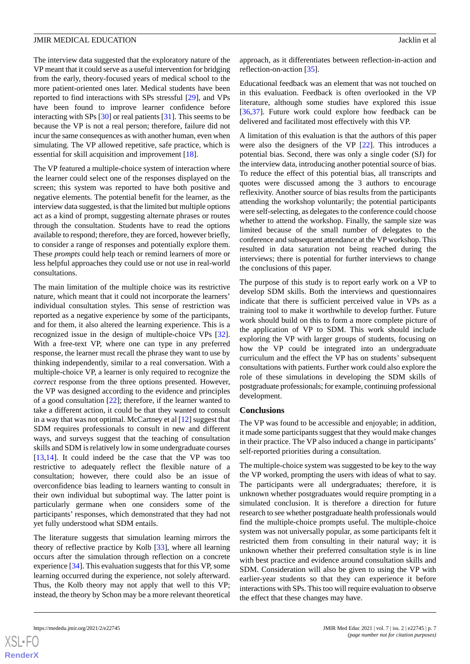The interview data suggested that the exploratory nature of the VP meant that it could serve as a useful intervention for bridging from the early, theory-focused years of medical school to the more patient-oriented ones later. Medical students have been reported to find interactions with SPs stressful [\[29](#page-8-8)], and VPs have been found to improve learner confidence before interacting with SPs [[30\]](#page-8-9) or real patients [[31\]](#page-8-10). This seems to be because the VP is not a real person; therefore, failure did not incur the same consequences as with another human, even when simulating. The VP allowed repetitive, safe practice, which is essential for skill acquisition and improvement [[18\]](#page-7-17).

The VP featured a multiple-choice system of interaction where the learner could select one of the responses displayed on the screen; this system was reported to have both positive and negative elements. The potential benefit for the learner, as the interview data suggested, is that the limited but multiple options act as a kind of prompt, suggesting alternate phrases or routes through the consultation. Students have to read the options available to respond; therefore, they are forced, however briefly, to consider a range of responses and potentially explore them. These *prompts* could help teach or remind learners of more or less helpful approaches they could use or not use in real-world consultations.

The main limitation of the multiple choice was its restrictive nature, which meant that it could not incorporate the learners' individual consultation styles. This sense of restriction was reported as a negative experience by some of the participants, and for them, it also altered the learning experience. This is a recognized issue in the design of multiple-choice VPs [[32\]](#page-8-11). With a free-text VP, where one can type in any preferred response, the learner must recall the phrase they want to use by thinking independently, similar to a real conversation. With a multiple-choice VP, a learner is only required to recognize the *correct* response from the three options presented. However, the VP was designed according to the evidence and principles of a good consultation [\[22](#page-8-1)]; therefore, if the learner wanted to take a different action, it could be that they wanted to consult in a way that was not optimal. McCartney et al  $[12]$  $[12]$  suggest that SDM requires professionals to consult in new and different ways, and surveys suggest that the teaching of consultation skills and SDM is relatively low in some undergraduate courses [[13](#page-7-12)[,14](#page-7-13)]. It could indeed be the case that the VP was too restrictive to adequately reflect the flexible nature of a consultation; however, there could also be an issue of overconfidence bias leading to learners wanting to consult in their own individual but suboptimal way. The latter point is particularly germane when one considers some of the participants' responses, which demonstrated that they had not yet fully understood what SDM entails.

The literature suggests that simulation learning mirrors the theory of reflective practice by Kolb [\[33](#page-8-12)], where all learning occurs after the simulation through reflection on a concrete experience [[34\]](#page-8-13). This evaluation suggests that for this VP, some learning occurred during the experience, not solely afterward. Thus, the Kolb theory may not apply that well to this VP; instead, the theory by Schon may be a more relevant theoretical

approach, as it differentiates between reflection-in-action and reflection-on-action [[35\]](#page-8-14).

Educational feedback was an element that was not touched on in this evaluation. Feedback is often overlooked in the VP literature, although some studies have explored this issue [[36,](#page-8-15)[37\]](#page-8-16). Future work could explore how feedback can be delivered and facilitated most effectively with this VP.

A limitation of this evaluation is that the authors of this paper were also the designers of the VP [[22\]](#page-8-1). This introduces a potential bias. Second, there was only a single coder (SJ) for the interview data, introducing another potential source of bias. To reduce the effect of this potential bias, all transcripts and quotes were discussed among the 3 authors to encourage reflexivity. Another source of bias results from the participants attending the workshop voluntarily; the potential participants were self-selecting, as delegates to the conference could choose whether to attend the workshop. Finally, the sample size was limited because of the small number of delegates to the conference and subsequent attendance at the VP workshop. This resulted in data saturation not being reached during the interviews; there is potential for further interviews to change the conclusions of this paper.

The purpose of this study is to report early work on a VP to develop SDM skills. Both the interviews and questionnaires indicate that there is sufficient perceived value in VPs as a training tool to make it worthwhile to develop further. Future work should build on this to form a more complete picture of the application of VP to SDM. This work should include exploring the VP with larger groups of students, focusing on how the VP could be integrated into an undergraduate curriculum and the effect the VP has on students' subsequent consultations with patients. Further work could also explore the role of these simulations in developing the SDM skills of postgraduate professionals; for example, continuing professional development.

### **Conclusions**

The VP was found to be accessible and enjoyable; in addition, it made some participants suggest that they would make changes in their practice. The VP also induced a change in participants' self-reported priorities during a consultation.

The multiple-choice system was suggested to be key to the way the VP worked, prompting the users with ideas of what to say. The participants were all undergraduates; therefore, it is unknown whether postgraduates would require prompting in a simulated conclusion. It is therefore a direction for future research to see whether postgraduate health professionals would find the multiple-choice prompts useful. The multiple-choice system was not universally popular, as some participants felt it restricted them from consulting in their natural way; it is unknown whether their preferred consultation style is in line with best practice and evidence around consultation skills and SDM. Consideration will also be given to using the VP with earlier-year students so that they can experience it before interactions with SPs. This too will require evaluation to observe the effect that these changes may have.

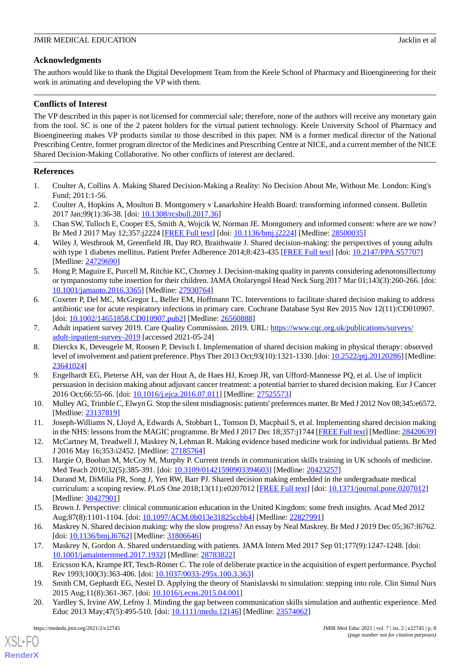# **Acknowledgments**

The authors would like to thank the Digital Development Team from the Keele School of Pharmacy and Bioengineering for their work in animating and developing the VP with them.

# **Conflicts of Interest**

The VP described in this paper is not licensed for commercial sale; therefore, none of the authors will receive any monetary gain from the tool. SC is one of the 2 patent holders for the virtual patient technology. Keele University School of Pharmacy and Bioengineering makes VP products similar to those described in this paper. NM is a former medical director of the National Prescribing Centre, former program director of the Medicines and Prescribing Centre at NICE, and a current member of the NICE Shared Decision-Making Collaborative. No other conflicts of interest are declared.

# <span id="page-7-0"></span>**References**

- <span id="page-7-1"></span>1. Coulter A, Collins A. Making Shared Decision-Making a Reality: No Decision About Me, Without Me. London: King's Fund; 2011:1-56.
- <span id="page-7-2"></span>2. Coulter A, Hopkins A, Moulton B. Montgomery v Lanarkshire Health Board: transforming informed consent. Bulletin 2017 Jan;99(1):36-38. [doi: [10.1308/rcsbull.2017.36\]](http://dx.doi.org/10.1308/rcsbull.2017.36)
- <span id="page-7-3"></span>3. Chan SW, Tulloch E, Cooper ES, Smith A, Wojcik W, Norman JE. Montgomery and informed consent: where are we now? Br Med J 2017 May 12;357:j2224 [[FREE Full text](http://www.bmj.com/cgi/pmidlookup?view=long&pmid=28500035)] [doi: [10.1136/bmj.j2224](http://dx.doi.org/10.1136/bmj.j2224)] [Medline: [28500035](http://www.ncbi.nlm.nih.gov/entrez/query.fcgi?cmd=Retrieve&db=PubMed&list_uids=28500035&dopt=Abstract)]
- <span id="page-7-4"></span>4. Wiley J, Westbrook M, Greenfield JR, Day RO, Braithwaite J. Shared decision-making: the perspectives of young adults with type 1 diabetes mellitus. Patient Prefer Adherence 2014;8:423-435 [\[FREE Full text\]](https://dx.doi.org/10.2147/PPA.S57707) [doi: [10.2147/PPA.S57707](http://dx.doi.org/10.2147/PPA.S57707)] [Medline: [24729690](http://www.ncbi.nlm.nih.gov/entrez/query.fcgi?cmd=Retrieve&db=PubMed&list_uids=24729690&dopt=Abstract)]
- <span id="page-7-5"></span>5. Hong P, Maguire E, Purcell M, Ritchie KC, Chorney J. Decision-making quality in parents considering adenotonsillectomy or tympanostomy tube insertion for their children. JAMA Otolaryngol Head Neck Surg 2017 Mar 01;143(3):260-266. [doi: [10.1001/jamaoto.2016.3365](http://dx.doi.org/10.1001/jamaoto.2016.3365)] [Medline: [27930764\]](http://www.ncbi.nlm.nih.gov/entrez/query.fcgi?cmd=Retrieve&db=PubMed&list_uids=27930764&dopt=Abstract)
- <span id="page-7-7"></span><span id="page-7-6"></span>6. Coxeter P, Del MC, McGregor L, Beller EM, Hoffmann TC. Interventions to facilitate shared decision making to address antibiotic use for acute respiratory infections in primary care. Cochrane Database Syst Rev 2015 Nov 12(11):CD010907. [doi: [10.1002/14651858.CD010907.pub2](http://dx.doi.org/10.1002/14651858.CD010907.pub2)] [Medline: [26560888\]](http://www.ncbi.nlm.nih.gov/entrez/query.fcgi?cmd=Retrieve&db=PubMed&list_uids=26560888&dopt=Abstract)
- 7. Adult inpatient survey 2019. Care Quality Commission. 2019. URL: [https://www.cqc.org.uk/publications/surveys/](https://www.cqc.org.uk/publications/surveys/adult-inpatient-survey-2019) [adult-inpatient-survey-2019](https://www.cqc.org.uk/publications/surveys/adult-inpatient-survey-2019) [accessed 2021-05-24]
- <span id="page-7-8"></span>8. Dierckx K, Deveugele M, Roosen P, Devisch I. Implementation of shared decision making in physical therapy: observed level of involvement and patient preference. Phys Ther 2013 Oct;93(10):1321-1330. [doi: [10.2522/ptj.20120286](http://dx.doi.org/10.2522/ptj.20120286)] [Medline: [23641024](http://www.ncbi.nlm.nih.gov/entrez/query.fcgi?cmd=Retrieve&db=PubMed&list_uids=23641024&dopt=Abstract)]
- <span id="page-7-10"></span><span id="page-7-9"></span>9. Engelhardt EG, Pieterse AH, van der Hout A, de Haes HJ, Kroep JR, van Ufford-Mannesse PQ, et al. Use of implicit persuasion in decision making about adjuvant cancer treatment: a potential barrier to shared decision making. Eur J Cancer 2016 Oct;66:55-66. [doi: [10.1016/j.ejca.2016.07.011\]](http://dx.doi.org/10.1016/j.ejca.2016.07.011) [Medline: [27525573\]](http://www.ncbi.nlm.nih.gov/entrez/query.fcgi?cmd=Retrieve&db=PubMed&list_uids=27525573&dopt=Abstract)
- <span id="page-7-11"></span>10. Mulley AG, Trimble C, Elwyn G. Stop the silent misdiagnosis: patients' preferences matter. Br Med J 2012 Nov 08;345:e6572. [Medline: [23137819](http://www.ncbi.nlm.nih.gov/entrez/query.fcgi?cmd=Retrieve&db=PubMed&list_uids=23137819&dopt=Abstract)]
- <span id="page-7-12"></span>11. Joseph-Williams N, Lloyd A, Edwards A, Stobbart L, Tomson D, Macphail S, et al. Implementing shared decision making in the NHS: lessons from the MAGIC programme. Br Med J 2017 Dec 18;357:1744 [[FREE Full text\]](http://www.bmj.com/cgi/pmidlookup?view=long&pmid=28420639) [Medline: [28420639](http://www.ncbi.nlm.nih.gov/entrez/query.fcgi?cmd=Retrieve&db=PubMed&list_uids=28420639&dopt=Abstract)]
- <span id="page-7-13"></span>12. McCartney M, Treadwell J, Maskrey N, Lehman R. Making evidence based medicine work for individual patients. Br Med J 2016 May 16;353:i2452. [Medline: [27185764](http://www.ncbi.nlm.nih.gov/entrez/query.fcgi?cmd=Retrieve&db=PubMed&list_uids=27185764&dopt=Abstract)]
- <span id="page-7-14"></span>13. Hargie O, Boohan M, McCoy M, Murphy P. Current trends in communication skills training in UK schools of medicine. Med Teach 2010;32(5):385-391. [doi: [10.3109/01421590903394603\]](http://dx.doi.org/10.3109/01421590903394603) [Medline: [20423257\]](http://www.ncbi.nlm.nih.gov/entrez/query.fcgi?cmd=Retrieve&db=PubMed&list_uids=20423257&dopt=Abstract)
- <span id="page-7-16"></span><span id="page-7-15"></span>14. Durand M, DiMilia PR, Song J, Yen RW, Barr PJ. Shared decision making embedded in the undergraduate medical curriculum: a scoping review. PLoS One 2018;13(11):e0207012 [[FREE Full text](http://dx.plos.org/10.1371/journal.pone.0207012)] [doi: [10.1371/journal.pone.0207012](http://dx.doi.org/10.1371/journal.pone.0207012)] [Medline: [30427901](http://www.ncbi.nlm.nih.gov/entrez/query.fcgi?cmd=Retrieve&db=PubMed&list_uids=30427901&dopt=Abstract)]
- <span id="page-7-17"></span>15. Brown J. Perspective: clinical communication education in the United Kingdom: some fresh insights. Acad Med 2012 Aug;87(8):1101-1104. [doi: [10.1097/ACM.0b013e31825ccbb4](http://dx.doi.org/10.1097/ACM.0b013e31825ccbb4)] [Medline: [22827991\]](http://www.ncbi.nlm.nih.gov/entrez/query.fcgi?cmd=Retrieve&db=PubMed&list_uids=22827991&dopt=Abstract)
- <span id="page-7-18"></span>16. Maskrey N. Shared decision making: why the slow progress? An essay by Neal Maskrey. Br Med J 2019 Dec 05;367:l6762. [doi: 10.1136/bmj.16762] [Medline: [31806646\]](http://www.ncbi.nlm.nih.gov/entrez/query.fcgi?cmd=Retrieve&db=PubMed&list_uids=31806646&dopt=Abstract)
- <span id="page-7-19"></span>17. Maskrey N, Gordon A. Shared understanding with patients. JAMA Intern Med 2017 Sep 01;177(9):1247-1248. [doi: [10.1001/jamainternmed.2017.1932\]](http://dx.doi.org/10.1001/jamainternmed.2017.1932) [Medline: [28783822\]](http://www.ncbi.nlm.nih.gov/entrez/query.fcgi?cmd=Retrieve&db=PubMed&list_uids=28783822&dopt=Abstract)
- 18. Ericsson KA, Krampe RT, Tesch-Römer C. The role of deliberate practice in the acquisition of expert performance. Psychol Rev 1993;100(3):363-406. [doi: [10.1037/0033-295x.100.3.363\]](http://dx.doi.org/10.1037/0033-295x.100.3.363)
- 19. Smith CM, Gephardt EG, Nestel D. Applying the theory of Stanislavski to simulation: stepping into role. Clin Simul Nurs 2015 Aug;11(8):361-367. [doi: [10.1016/j.ecns.2015.04.001](http://dx.doi.org/10.1016/j.ecns.2015.04.001)]
- 20. Yardley S, Irvine AW, Lefroy J. Minding the gap between communication skills simulation and authentic experience. Med Educ 2013 May;47(5):495-510. [doi: [10.1111/medu.12146](http://dx.doi.org/10.1111/medu.12146)] [Medline: [23574062](http://www.ncbi.nlm.nih.gov/entrez/query.fcgi?cmd=Retrieve&db=PubMed&list_uids=23574062&dopt=Abstract)]

[XSL](http://www.w3.org/Style/XSL)•FO **[RenderX](http://www.renderx.com/)**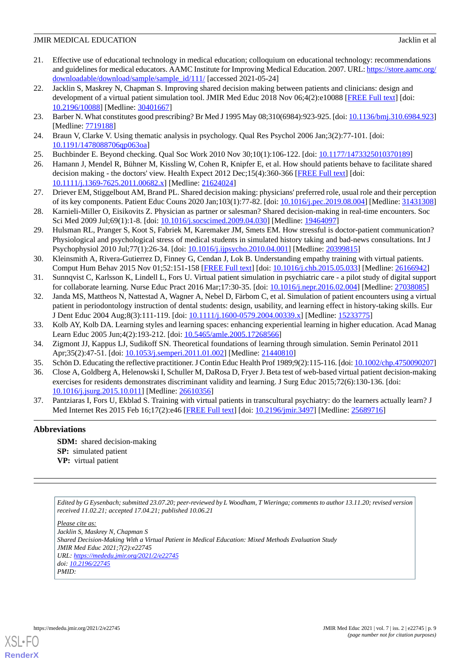- <span id="page-8-0"></span>21. Effective use of educational technology in medical education; colloquium on educational technology: recommendations and guidelines for medical educators. AAMC Institute for Improving Medical Education. 2007. URL: [https://store.aamc.org/](https://store.aamc.org/downloadable/download/sample/sample_id/111/) [downloadable/download/sample/sample\\_id/111/](https://store.aamc.org/downloadable/download/sample/sample_id/111/) [accessed 2021-05-24]
- <span id="page-8-1"></span>22. Jacklin S, Maskrey N, Chapman S. Improving shared decision making between patients and clinicians: design and development of a virtual patient simulation tool. JMIR Med Educ 2018 Nov 06;4(2):e10088 [\[FREE Full text\]](https://mededu.jmir.org/2018/2/e10088/) [doi: [10.2196/10088\]](http://dx.doi.org/10.2196/10088) [Medline: [30401667\]](http://www.ncbi.nlm.nih.gov/entrez/query.fcgi?cmd=Retrieve&db=PubMed&list_uids=30401667&dopt=Abstract)
- <span id="page-8-3"></span><span id="page-8-2"></span>23. Barber N. What constitutes good prescribing? Br Med J 1995 May 08;310(6984):923-925. [doi: [10.1136/bmj.310.6984.923\]](http://dx.doi.org/10.1136/bmj.310.6984.923) [Medline: [7719188\]](http://www.ncbi.nlm.nih.gov/entrez/query.fcgi?cmd=Retrieve&db=PubMed&list_uids=7719188&dopt=Abstract)
- <span id="page-8-4"></span>24. Braun V, Clarke V. Using thematic analysis in psychology. Qual Res Psychol 2006 Jan;3(2):77-101. [doi: [10.1191/1478088706qp063oa](http://dx.doi.org/10.1191/1478088706qp063oa)]
- <span id="page-8-5"></span>25. Buchbinder E. Beyond checking. Qual Soc Work 2010 Nov 30;10(1):106-122. [doi: [10.1177/1473325010370189\]](http://dx.doi.org/10.1177/1473325010370189)
- <span id="page-8-6"></span>26. Hamann J, Mendel R, Bühner M, Kissling W, Cohen R, Knipfer E, et al. How should patients behave to facilitate shared decision making - the doctors' view. Health Expect 2012 Dec;15(4):360-366 [\[FREE Full text\]](http://europepmc.org/abstract/MED/21624024) [doi: [10.1111/j.1369-7625.2011.00682.x\]](http://dx.doi.org/10.1111/j.1369-7625.2011.00682.x) [Medline: [21624024\]](http://www.ncbi.nlm.nih.gov/entrez/query.fcgi?cmd=Retrieve&db=PubMed&list_uids=21624024&dopt=Abstract)
- <span id="page-8-7"></span>27. Driever EM, Stiggelbout AM, Brand PL. Shared decision making: physicians' preferred role, usual role and their perception of its key components. Patient Educ Couns 2020 Jan;103(1):77-82. [doi: [10.1016/j.pec.2019.08.004](http://dx.doi.org/10.1016/j.pec.2019.08.004)] [Medline: [31431308](http://www.ncbi.nlm.nih.gov/entrez/query.fcgi?cmd=Retrieve&db=PubMed&list_uids=31431308&dopt=Abstract)]
- <span id="page-8-8"></span>28. Karnieli-Miller O, Eisikovits Z. Physician as partner or salesman? Shared decision-making in real-time encounters. Soc Sci Med 2009 Jul;69(1):1-8. [doi: [10.1016/j.socscimed.2009.04.030](http://dx.doi.org/10.1016/j.socscimed.2009.04.030)] [Medline: [19464097](http://www.ncbi.nlm.nih.gov/entrez/query.fcgi?cmd=Retrieve&db=PubMed&list_uids=19464097&dopt=Abstract)]
- <span id="page-8-9"></span>29. Hulsman RL, Pranger S, Koot S, Fabriek M, Karemaker JM, Smets EM. How stressful is doctor-patient communication? Physiological and psychological stress of medical students in simulated history taking and bad-news consultations. Int J Psychophysiol 2010 Jul;77(1):26-34. [doi: [10.1016/j.ijpsycho.2010.04.001](http://dx.doi.org/10.1016/j.ijpsycho.2010.04.001)] [Medline: [20399815](http://www.ncbi.nlm.nih.gov/entrez/query.fcgi?cmd=Retrieve&db=PubMed&list_uids=20399815&dopt=Abstract)]
- <span id="page-8-11"></span><span id="page-8-10"></span>30. Kleinsmith A, Rivera-Gutierrez D, Finney G, Cendan J, Lok B. Understanding empathy training with virtual patients. Comput Hum Behav 2015 Nov 01;52:151-158 [\[FREE Full text\]](https://doi.org/10.1016/j.chb.2015.05.033) [doi: [10.1016/j.chb.2015.05.033](http://dx.doi.org/10.1016/j.chb.2015.05.033)] [Medline: [26166942\]](http://www.ncbi.nlm.nih.gov/entrez/query.fcgi?cmd=Retrieve&db=PubMed&list_uids=26166942&dopt=Abstract)
- 31. Sunnqvist C, Karlsson K, Lindell L, Fors U. Virtual patient simulation in psychiatric care a pilot study of digital support for collaborate learning. Nurse Educ Pract 2016 Mar;17:30-35. [doi: [10.1016/j.nepr.2016.02.004\]](http://dx.doi.org/10.1016/j.nepr.2016.02.004) [Medline: [27038085](http://www.ncbi.nlm.nih.gov/entrez/query.fcgi?cmd=Retrieve&db=PubMed&list_uids=27038085&dopt=Abstract)]
- <span id="page-8-13"></span><span id="page-8-12"></span>32. Janda MS, Mattheos N, Nattestad A, Wagner A, Nebel D, Färbom C, et al. Simulation of patient encounters using a virtual patient in periodontology instruction of dental students: design, usability, and learning effect in history-taking skills. Eur J Dent Educ 2004 Aug;8(3):111-119. [doi: [10.1111/j.1600-0579.2004.00339.x\]](http://dx.doi.org/10.1111/j.1600-0579.2004.00339.x) [Medline: [15233775\]](http://www.ncbi.nlm.nih.gov/entrez/query.fcgi?cmd=Retrieve&db=PubMed&list_uids=15233775&dopt=Abstract)
- <span id="page-8-14"></span>33. Kolb AY, Kolb DA. Learning styles and learning spaces: enhancing experiential learning in higher education. Acad Manag Learn Educ 2005 Jun;4(2):193-212. [doi: [10.5465/amle.2005.17268566](http://dx.doi.org/10.5465/amle.2005.17268566)]
- <span id="page-8-15"></span>34. Zigmont JJ, Kappus LJ, Sudikoff SN. Theoretical foundations of learning through simulation. Semin Perinatol 2011 Apr;35(2):47-51. [doi: [10.1053/j.semperi.2011.01.002\]](http://dx.doi.org/10.1053/j.semperi.2011.01.002) [Medline: [21440810\]](http://www.ncbi.nlm.nih.gov/entrez/query.fcgi?cmd=Retrieve&db=PubMed&list_uids=21440810&dopt=Abstract)
- <span id="page-8-16"></span>35. Schön D. Educating the reflective practitioner. J Contin Educ Health Prof 1989;9(2):115-116. [doi: [10.1002/chp.4750090207\]](http://dx.doi.org/10.1002/chp.4750090207)
- 36. Close A, Goldberg A, Helenowski I, Schuller M, DaRosa D, Fryer J. Beta test of web-based virtual patient decision-making exercises for residents demonstrates discriminant validity and learning. J Surg Educ 2015;72(6):130-136. [doi: [10.1016/j.jsurg.2015.10.011](http://dx.doi.org/10.1016/j.jsurg.2015.10.011)] [Medline: [26610356](http://www.ncbi.nlm.nih.gov/entrez/query.fcgi?cmd=Retrieve&db=PubMed&list_uids=26610356&dopt=Abstract)]
- 37. Pantziaras I, Fors U, Ekblad S. Training with virtual patients in transcultural psychiatry: do the learners actually learn? J Med Internet Res 2015 Feb 16;17(2):e46 [[FREE Full text](http://www.jmir.org/2015/2/e46/)] [doi: [10.2196/jmir.3497\]](http://dx.doi.org/10.2196/jmir.3497) [Medline: [25689716](http://www.ncbi.nlm.nih.gov/entrez/query.fcgi?cmd=Retrieve&db=PubMed&list_uids=25689716&dopt=Abstract)]

# **Abbreviations**

**SDM:** shared decision-making **SP:** simulated patient **VP:** virtual patient

*Edited by G Eysenbach; submitted 23.07.20; peer-reviewed by L Woodham, T Wieringa; comments to author 13.11.20; revised version received 11.02.21; accepted 17.04.21; published 10.06.21*

*Please cite as: Jacklin S, Maskrey N, Chapman S Shared Decision-Making With a Virtual Patient in Medical Education: Mixed Methods Evaluation Study JMIR Med Educ 2021;7(2):e22745 URL: <https://mededu.jmir.org/2021/2/e22745> doi: [10.2196/22745](http://dx.doi.org/10.2196/22745) PMID:*



[XSL](http://www.w3.org/Style/XSL)•FO **[RenderX](http://www.renderx.com/)**